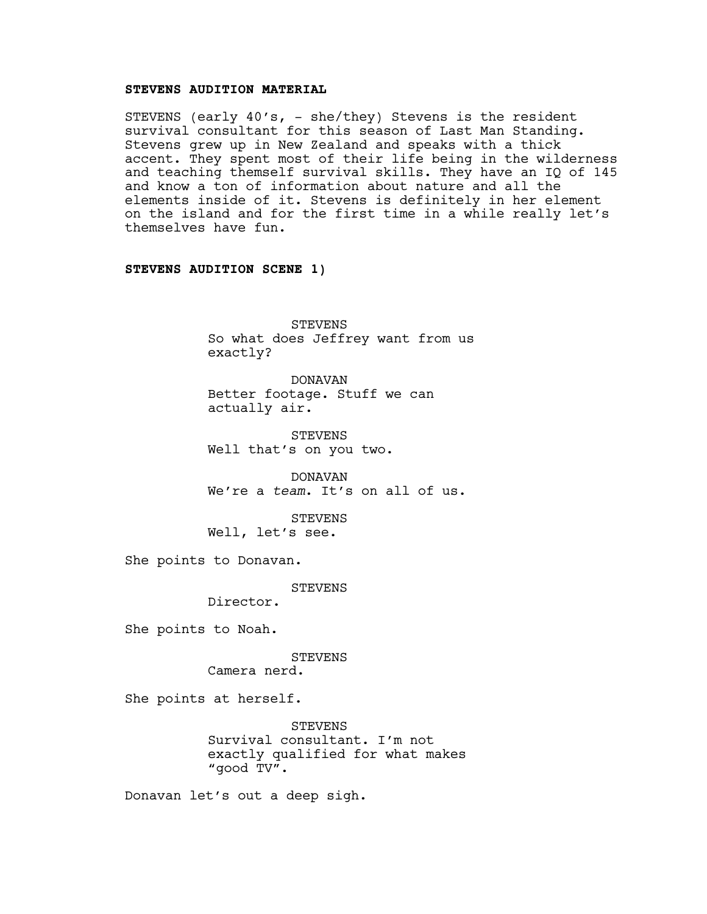# **STEVENS AUDITION MATERIAL**

STEVENS (early 40's, - she/they) Stevens is the resident survival consultant for this season of Last Man Standing. Stevens grew up in New Zealand and speaks with a thick accent. They spent most of their life being in the wilderness and teaching themself survival skills. They have an IQ of 145 and know a ton of information about nature and all the elements inside of it. Stevens is definitely in her element on the island and for the first time in a while really let's themselves have fun.

# **STEVENS AUDITION SCENE 1)**

STEVENS So what does Jeffrey want from us exactly?

DONAVAN Better footage. Stuff we can actually air.

STEVENS Well that's on you two.

DONAVAN We're a *team*. It's on all of us.

STEVENS Well, let's see.

She points to Donavan.

STEVENS

Director.

She points to Noah.

STEVENS

Camera nerd.

She points at herself.

**STEVENS** Survival consultant. I'm not exactly qualified for what makes "good TV".

Donavan let's out a deep sigh.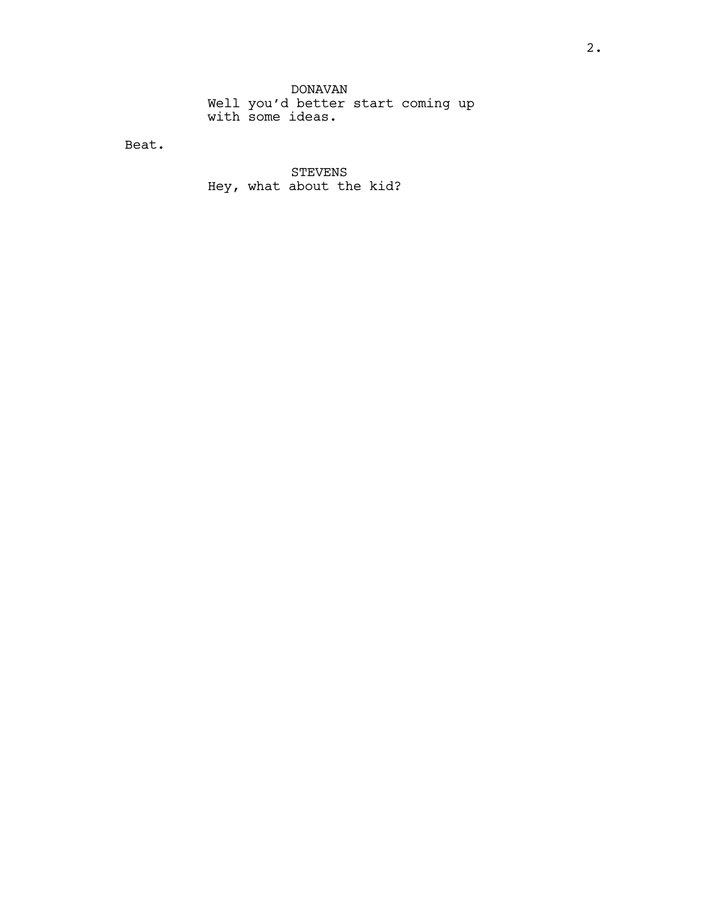DONAVAN Well you'd better start coming up with some ideas.

Beat.

STEVENS Hey, what about the kid?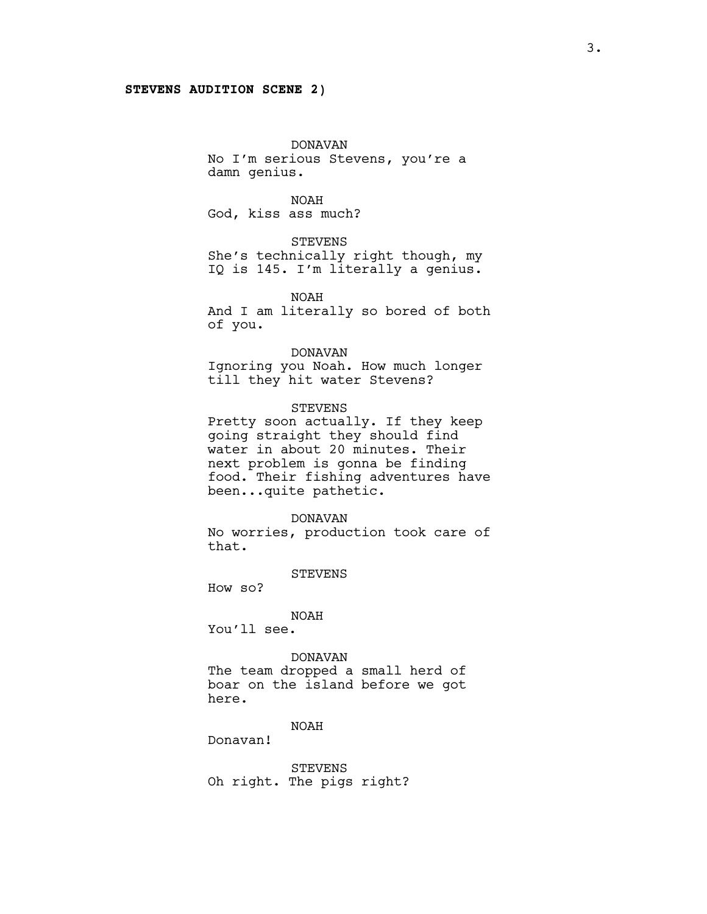#### **STEVENS AUDITION SCENE 2)**

DONAVAN No I'm serious Stevens, you're a damn genius.

NOAH God, kiss ass much?

STEVENS She's technically right though, my IQ is 145. I'm literally a genius.

NOAH And I am literally so bored of both of you.

DONAVAN Ignoring you Noah. How much longer till they hit water Stevens?

STEVENS Pretty soon actually. If they keep going straight they should find water in about 20 minutes. Their

next problem is gonna be finding food. Their fishing adventures have been...quite pathetic.

#### DONAVAN

No worries, production took care of that.

**STEVENS** 

How so?

#### NOAH

You'll see.

### DONAVAN

The team dropped a small herd of boar on the island before we got here.

### NOAH

Donavan!

STEVENS Oh right. The pigs right?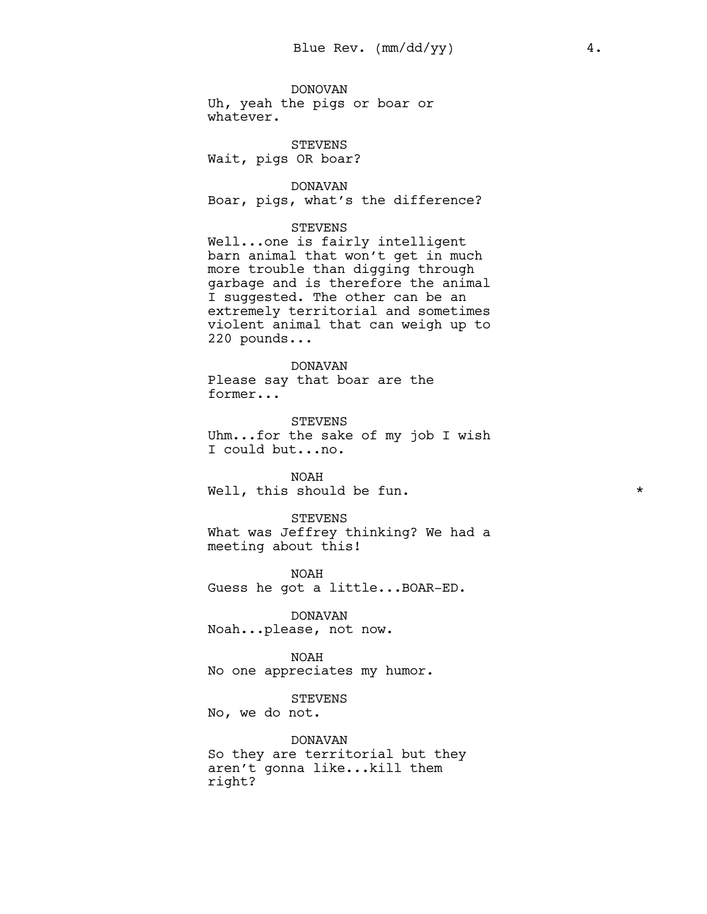DONOVAN Uh, yeah the pigs or boar or whatever.

STEVENS Wait, pigs OR boar?

DONAVAN Boar, pigs, what's the difference?

# STEVENS

Well...one is fairly intelligent barn animal that won't get in much more trouble than digging through garbage and is therefore the animal I suggested. The other can be an extremely territorial and sometimes violent animal that can weigh up to 220 pounds...

# DONAVAN

Please say that boar are the former...

STEVENS Uhm...for the sake of my job I wish I could but...no.

NOAH Well, this should be fun.  $\star$ 

#### STEVENS

What was Jeffrey thinking? We had a meeting about this!

NOAH Guess he got a little...BOAR-ED.

DONAVAN Noah...please, not now.

NOAH

No one appreciates my humor.

STEVENS

No, we do not.

DONAVAN So they are territorial but they aren't gonna like...kill them right?